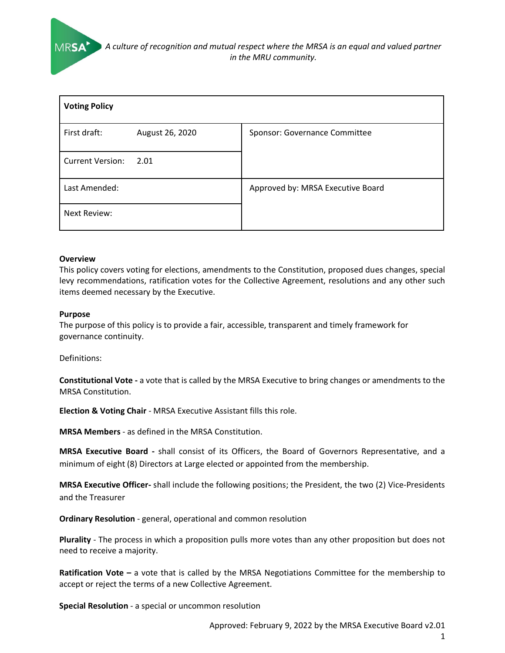*A culture of recognition and mutual respect where the MRSA is an equal and valued partner in the MRU community.*

| <b>Voting Policy</b>    |                 |                                   |  |  |
|-------------------------|-----------------|-----------------------------------|--|--|
| First draft:            | August 26, 2020 | Sponsor: Governance Committee     |  |  |
| <b>Current Version:</b> | 2.01            |                                   |  |  |
| Last Amended:           |                 | Approved by: MRSA Executive Board |  |  |
| Next Review:            |                 |                                   |  |  |

#### **Overview**

This policy covers voting for elections, amendments to the Constitution, proposed dues changes, special levy recommendations, ratification votes for the Collective Agreement, resolutions and any other such items deemed necessary by the Executive.

#### **Purpose**

The purpose of this policy is to provide a fair, accessible, transparent and timely framework for governance continuity.

Definitions:

**Constitutional Vote -** a vote that is called by the MRSA Executive to bring changes or amendments to the MRSA Constitution.

**Election & Voting Chair** - MRSA Executive Assistant fills this role.

**MRSA Members** - as defined in the MRSA Constitution.

**MRSA Executive Board -** shall consist of its Officers, the Board of Governors Representative, and a minimum of eight (8) Directors at Large elected or appointed from the membership.

**MRSA Executive Officer-** shall include the following positions; the President, the two (2) Vice-Presidents and the Treasurer

**Ordinary Resolution** - general, operational and common resolution

**Plurality** - The process in which a proposition pulls more votes than any other proposition but does not need to receive a majority.

**Ratification Vote –** a vote that is called by the MRSA Negotiations Committee for the membership to accept or reject the terms of a new Collective Agreement.

**Special Resolution** - a special or uncommon resolution

Approved: February 9, 2022 by the MRSA Executive Board v2.01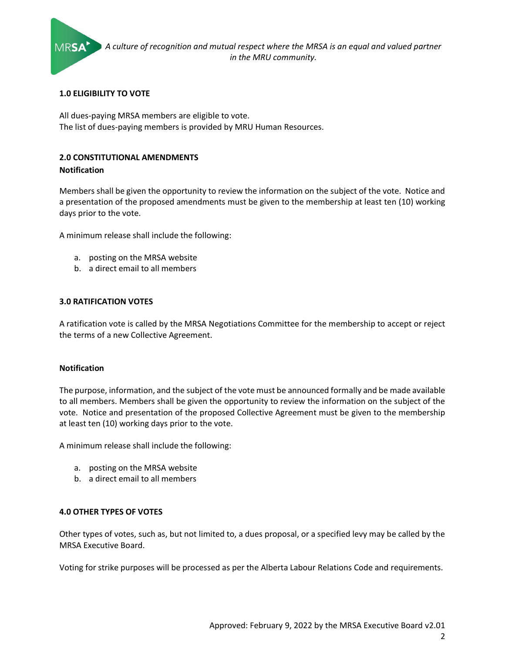

## **1.0 ELIGIBILITY TO VOTE**

All dues-paying MRSA members are eligible to vote. The list of dues-paying members is provided by MRU Human Resources.

# **2.0 CONSTITUTIONAL AMENDMENTS**

# **Notification**

Members shall be given the opportunity to review the information on the subject of the vote. Notice and a presentation of the proposed amendments must be given to the membership at least ten (10) working days prior to the vote.

A minimum release shall include the following:

- a. posting on the MRSA website
- b. a direct email to all members

# **3.0 RATIFICATION VOTES**

A ratification vote is called by the MRSA Negotiations Committee for the membership to accept or reject the terms of a new Collective Agreement.

## **Notification**

The purpose, information, and the subject of the vote must be announced formally and be made available to all members. Members shall be given the opportunity to review the information on the subject of the vote. Notice and presentation of the proposed Collective Agreement must be given to the membership at least ten (10) working days prior to the vote.

A minimum release shall include the following:

- a. posting on the MRSA website
- b. a direct email to all members

## **4.0 OTHER TYPES OF VOTES**

Other types of votes, such as, but not limited to, a dues proposal, or a specified levy may be called by the MRSA Executive Board.

Voting for strike purposes will be processed as per the Alberta Labour Relations Code and requirements.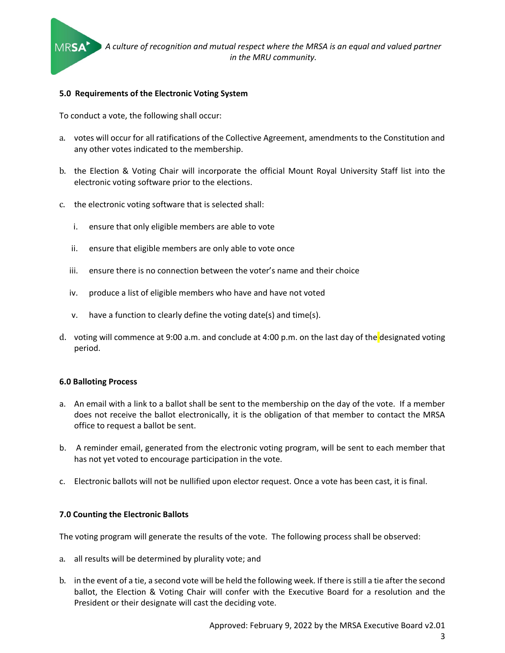

#### **5.0 Requirements of the Electronic Voting System**

To conduct a vote, the following shall occur:

- a. votes will occur for all ratifications of the Collective Agreement, amendments to the Constitution and any other votes indicated to the membership.
- b. the Election & Voting Chair will incorporate the official Mount Royal University Staff list into the electronic voting software prior to the elections.
- c. the electronic voting software that is selected shall:
	- i. ensure that only eligible members are able to vote
	- ii. ensure that eligible members are only able to vote once
	- iii. ensure there is no connection between the voter's name and their choice
	- iv. produce a list of eligible members who have and have not voted
	- v. have a function to clearly define the voting date(s) and time(s).
- d. voting will commence at 9:00 a.m. and conclude at 4:00 p.m. on the last day of the designated voting period.

#### **6.0 Balloting Process**

- a. An email with a link to a ballot shall be sent to the membership on the day of the vote. If a member does not receive the ballot electronically, it is the obligation of that member to contact the MRSA office to request a ballot be sent.
- b. A reminder email, generated from the electronic voting program, will be sent to each member that has not yet voted to encourage participation in the vote.
- c. Electronic ballots will not be nullified upon elector request. Once a vote has been cast, it is final.

## **7.0 Counting the Electronic Ballots**

The voting program will generate the results of the vote. The following process shall be observed:

- a. all results will be determined by plurality vote; and
- b. in the event of a tie, a second vote will be held the following week. If there is still a tie after the second ballot, the Election & Voting Chair will confer with the Executive Board for a resolution and the President or their designate will cast the deciding vote.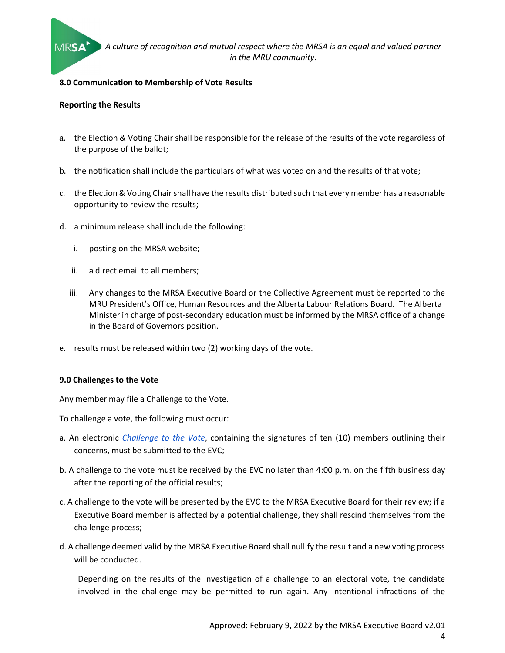

## **8.0 Communication to Membership of Vote Results**

#### **Reporting the Results**

- a. the Election & Voting Chair shall be responsible for the release of the results of the vote regardless of the purpose of the ballot;
- b. the notification shall include the particulars of what was voted on and the results of that vote;
- c. the Election & Voting Chair shall have the results distributed such that every member has a reasonable opportunity to review the results;
- d. a minimum release shall include the following:
	- i. posting on the MRSA website;
	- ii. a direct email to all members;
	- iii. Any changes to the MRSA Executive Board or the Collective Agreement must be reported to the MRU President's Office, Human Resources and the Alberta Labour Relations Board. The Alberta Minister in charge of post-secondary education must be informed by the MRSA office of a change in the Board of Governors position.
- e. results must be released within two (2) working days of the vote.

#### **9.0 Challenges to the Vote**

Any member may file a Challenge to the Vote.

To challenge a vote, the following must occur:

- a. An electronic *[Challenge to the Vote](https://forms.gle/MoGhLSZMcZJjRZDCA)*, containing the signatures of ten (10) members outlining their concerns, must be submitted to the EVC;
- b. A challenge to the vote must be received by the EVC no later than 4:00 p.m. on the fifth business day after the reporting of the official results;
- c. A challenge to the vote will be presented by the EVC to the MRSA Executive Board for their review; if a Executive Board member is affected by a potential challenge, they shall rescind themselves from the challenge process;
- d. A challenge deemed valid by the MRSA Executive Board shall nullify the result and a new voting process will be conducted.

Depending on the results of the investigation of a challenge to an electoral vote, the candidate involved in the challenge may be permitted to run again. Any intentional infractions of the